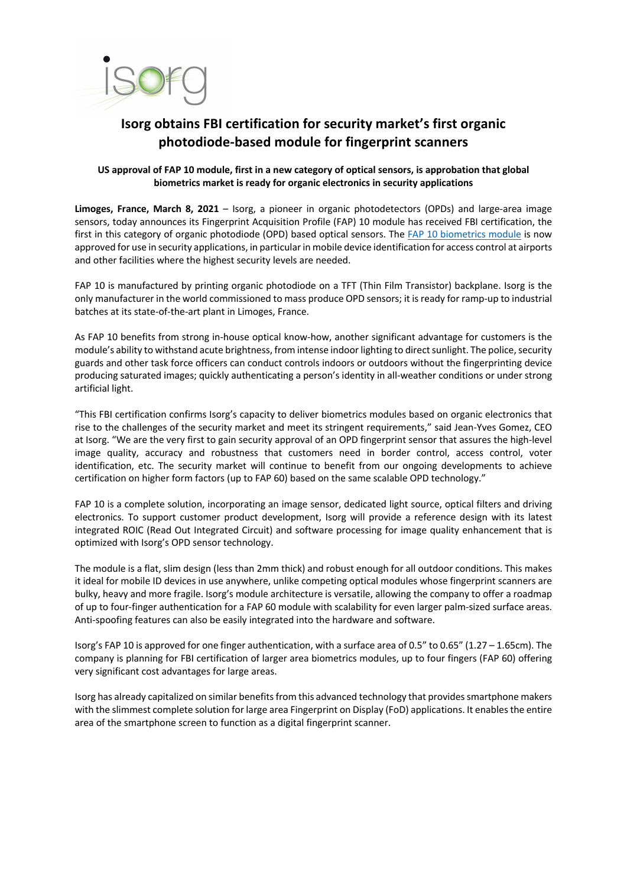

## **Isorg obtains FBI certification for security market's first organic photodiode-based module for fingerprint scanners**

## **US approval of FAP 10 module, first in a new category of optical sensors, is approbation that global biometrics market is ready for organic electronics in security applications**

**Limoges, France, March 8, 2021** – Isorg, a pioneer in organic photodetectors (OPDs) and large-area image sensors, today announces its Fingerprint Acquisition Profile (FAP) 10 module has received FBI certification, the first in this category of organic photodiode (OPD) based optical sensors. The FAP 10 biometrics module is now approved for use in security applications, in particular in mobile device identification for access control at airports and other facilities where the highest security levels are needed.

FAP 10 is manufactured by printing organic photodiode on a TFT (Thin Film Transistor) backplane. Isorg is the only manufacturer in the world commissioned to mass produce OPD sensors; it is ready for ramp-up to industrial batches at its state-of-the-art plant in Limoges, France.

As FAP 10 benefits from strong in-house optical know-how, another significant advantage for customers is the module's ability to withstand acute brightness, from intense indoor lighting to direct sunlight. The police, security guards and other task force officers can conduct controls indoors or outdoors without the fingerprinting device producing saturated images; quickly authenticating a person's identity in all-weather conditions or under strong artificial light.

"This FBI certification confirms Isorg's capacity to deliver biometrics modules based on organic electronics that rise to the challenges of the security market and meet its stringent requirements," said Jean-Yves Gomez, CEO at Isorg. "We are the very first to gain security approval of an OPD fingerprint sensor that assures the high-level image quality, accuracy and robustness that customers need in border control, access control, voter identification, etc. The security market will continue to benefit from our ongoing developments to achieve certification on higher form factors (up to FAP 60) based on the same scalable OPD technology."

FAP 10 is a complete solution, incorporating an image sensor, dedicated light source, optical filters and driving electronics. To support customer product development, Isorg will provide a reference design with its latest integrated ROIC (Read Out Integrated Circuit) and software processing for image quality enhancement that is optimized with Isorg's OPD sensor technology.

The module is a flat, slim design (less than 2mm thick) and robust enough for all outdoor conditions. This makes it ideal for mobile ID devices in use anywhere, unlike competing optical modules whose fingerprint scanners are bulky, heavy and more fragile. Isorg's module architecture is versatile, allowing the company to offer a roadmap of up to four-finger authentication for a FAP 60 module with scalability for even larger palm-sized surface areas. Anti-spoofing features can also be easily integrated into the hardware and software.

Isorg's FAP 10 is approved for one finger authentication, with a surface area of 0.5" to 0.65" (1.27 – 1.65cm). The company is planning for FBI certification of larger area biometrics modules, up to four fingers (FAP 60) offering very significant cost advantages for large areas.

Isorg has already capitalized on similar benefits from this advanced technology that providessmartphone makers with the slimmest complete solution for large area Fingerprint on Display (FoD) applications. It enables the entire area of the smartphone screen to function as a digital fingerprint scanner.